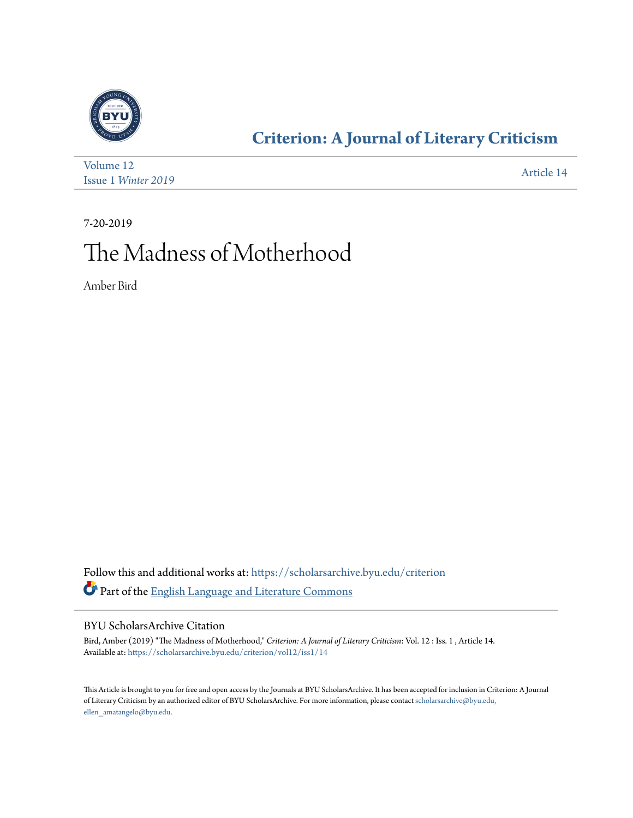

### **[Criterion: A Journal of Literary Criticism](https://scholarsarchive.byu.edu/criterion?utm_source=scholarsarchive.byu.edu%2Fcriterion%2Fvol12%2Fiss1%2F14&utm_medium=PDF&utm_campaign=PDFCoverPages)**

| Volume 12                  | Article 14 |
|----------------------------|------------|
| <b>Issue 1 Winter 2019</b> |            |

7-20-2019

### The Madness of Motherhood

Amber Bird

Follow this and additional works at: [https://scholarsarchive.byu.edu/criterion](https://scholarsarchive.byu.edu/criterion?utm_source=scholarsarchive.byu.edu%2Fcriterion%2Fvol12%2Fiss1%2F14&utm_medium=PDF&utm_campaign=PDFCoverPages) Part of the [English Language and Literature Commons](http://network.bepress.com/hgg/discipline/455?utm_source=scholarsarchive.byu.edu%2Fcriterion%2Fvol12%2Fiss1%2F14&utm_medium=PDF&utm_campaign=PDFCoverPages)

#### BYU ScholarsArchive Citation

Bird, Amber (2019) "The Madness of Motherhood," *Criterion: A Journal of Literary Criticism*: Vol. 12 : Iss. 1 , Article 14. Available at: [https://scholarsarchive.byu.edu/criterion/vol12/iss1/14](https://scholarsarchive.byu.edu/criterion/vol12/iss1/14?utm_source=scholarsarchive.byu.edu%2Fcriterion%2Fvol12%2Fiss1%2F14&utm_medium=PDF&utm_campaign=PDFCoverPages)

This Article is brought to you for free and open access by the Journals at BYU ScholarsArchive. It has been accepted for inclusion in Criterion: A Journal of Literary Criticism by an authorized editor of BYU ScholarsArchive. For more information, please contact [scholarsarchive@byu.edu,](mailto:scholarsarchive@byu.edu,%20ellen_amatangelo@byu.edu) [ellen\\_amatangelo@byu.edu.](mailto:scholarsarchive@byu.edu,%20ellen_amatangelo@byu.edu)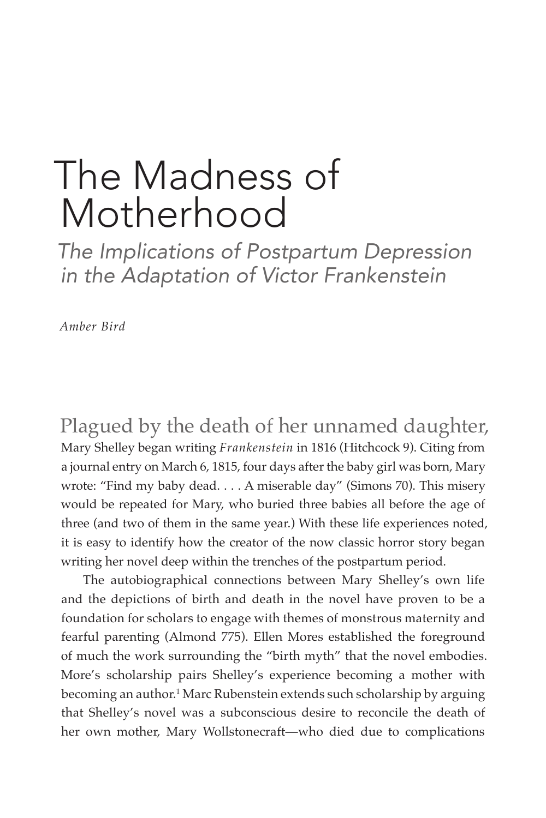# The Madness of Motherhood

*The Implications of Postpartum Depression in the Adaptation of Victor Frankenstein*

*Amber Bird*

Plagued by the death of her unnamed daughter, Mary Shelley began writing *Frankenstein* in 1816 (Hitchcock 9). Citing from a journal entry on March 6, 1815, four days after the baby girl was born, Mary wrote: "Find my baby dead. . . . A miserable day" (Simons 70). This misery would be repeated for Mary, who buried three babies all before the age of three (and two of them in the same year.) With these life experiences noted, it is easy to identify how the creator of the now classic horror story began writing her novel deep within the trenches of the postpartum period.

The autobiographical connections between Mary Shelley's own life and the depictions of birth and death in the novel have proven to be a foundation for scholars to engage with themes of monstrous maternity and fearful parenting (Almond 775). Ellen Mores established the foreground of much the work surrounding the "birth myth" that the novel embodies. More's scholarship pairs Shelley's experience becoming a mother with becoming an author.1 Marc Rubenstein extends such scholarship by arguing that Shelley's novel was a subconscious desire to reconcile the death of her own mother, Mary Wollstonecraft—who died due to complications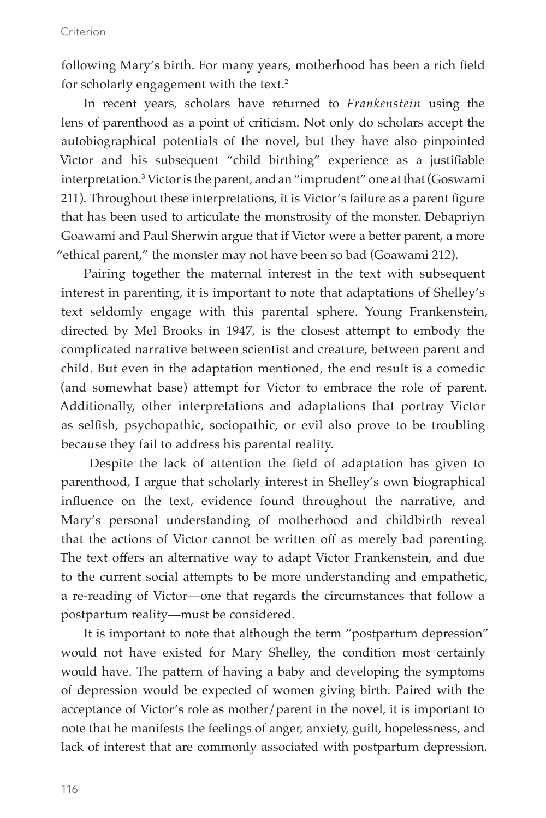following Mary's birth. For many years, motherhood has been a rich field for scholarly engagement with the text.2

In recent years, scholars have returned to *Frankenstein* using the lens of parenthood as a point of criticism. Not only do scholars accept the autobiographical potentials of the novel, but they have also pinpointed Victor and his subsequent "child birthing" experience as a justifiable interpretation.3 Victor is the parent, and an "imprudent" one at that (Goswami 211). Throughout these interpretations, it is Victor's failure as a parent figure that has been used to articulate the monstrosity of the monster. Debapriyn Goawami and Paul Sherwin argue that if Victor were a better parent, a more "ethical parent," the monster may not have been so bad (Goawami 212).

Pairing together the maternal interest in the text with subsequent interest in parenting, it is important to note that adaptations of Shelley's text seldomly engage with this parental sphere. Young Frankenstein, directed by Mel Brooks in 1947, is the closest attempt to embody the complicated narrative between scientist and creature, between parent and child. But even in the adaptation mentioned, the end result is a comedic (and somewhat base) attempt for Victor to embrace the role of parent. Additionally, other interpretations and adaptations that portray Victor as selfish, psychopathic, sociopathic, or evil also prove to be troubling because they fail to address his parental reality.

 Despite the lack of attention the field of adaptation has given to parenthood, I argue that scholarly interest in Shelley's own biographical influence on the text, evidence found throughout the narrative, and Mary's personal understanding of motherhood and childbirth reveal that the actions of Victor cannot be written off as merely bad parenting. The text offers an alternative way to adapt Victor Frankenstein, and due to the current social attempts to be more understanding and empathetic, a re-reading of Victor—one that regards the circumstances that follow a postpartum reality—must be considered.

It is important to note that although the term "postpartum depression" would not have existed for Mary Shelley, the condition most certainly would have. The pattern of having a baby and developing the symptoms of depression would be expected of women giving birth. Paired with the acceptance of Victor's role as mother/parent in the novel, it is important to note that he manifests the feelings of anger, anxiety, guilt, hopelessness, and lack of interest that are commonly associated with postpartum depression.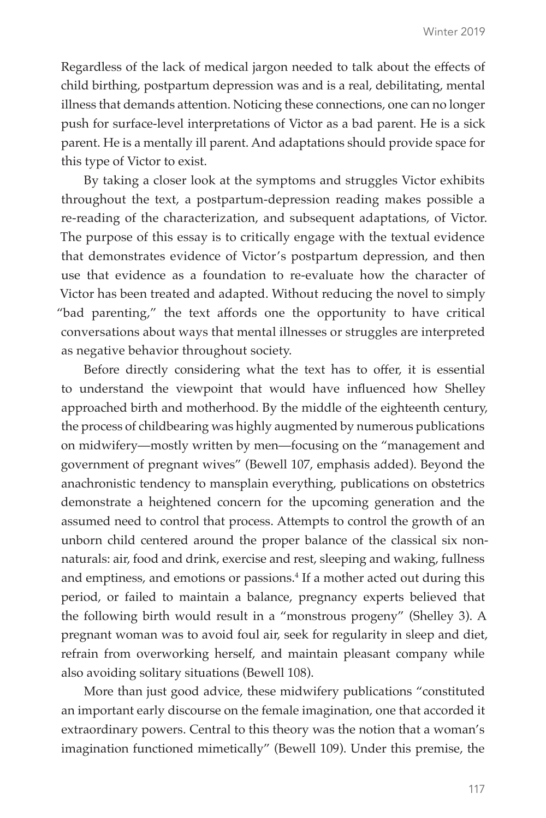Regardless of the lack of medical jargon needed to talk about the effects of child birthing, postpartum depression was and is a real, debilitating, mental illness that demands attention. Noticing these connections, one can no longer push for surface-level interpretations of Victor as a bad parent. He is a sick parent. He is a mentally ill parent. And adaptations should provide space for this type of Victor to exist.

By taking a closer look at the symptoms and struggles Victor exhibits throughout the text, a postpartum-depression reading makes possible a re-reading of the characterization, and subsequent adaptations, of Victor. The purpose of this essay is to critically engage with the textual evidence that demonstrates evidence of Victor's postpartum depression, and then use that evidence as a foundation to re-evaluate how the character of Victor has been treated and adapted. Without reducing the novel to simply "bad parenting," the text affords one the opportunity to have critical conversations about ways that mental illnesses or struggles are interpreted as negative behavior throughout society.

Before directly considering what the text has to offer, it is essential to understand the viewpoint that would have influenced how Shelley approached birth and motherhood. By the middle of the eighteenth century, the process of childbearing was highly augmented by numerous publications on midwifery—mostly written by men—focusing on the "management and government of pregnant wives" (Bewell 107, emphasis added). Beyond the anachronistic tendency to mansplain everything, publications on obstetrics demonstrate a heightened concern for the upcoming generation and the assumed need to control that process. Attempts to control the growth of an unborn child centered around the proper balance of the classical six nonnaturals: air, food and drink, exercise and rest, sleeping and waking, fullness and emptiness, and emotions or passions.<sup>4</sup> If a mother acted out during this period, or failed to maintain a balance, pregnancy experts believed that the following birth would result in a "monstrous progeny" (Shelley 3). A pregnant woman was to avoid foul air, seek for regularity in sleep and diet, refrain from overworking herself, and maintain pleasant company while also avoiding solitary situations (Bewell 108).

More than just good advice, these midwifery publications "constituted an important early discourse on the female imagination, one that accorded it extraordinary powers. Central to this theory was the notion that a woman's imagination functioned mimetically" (Bewell 109). Under this premise, the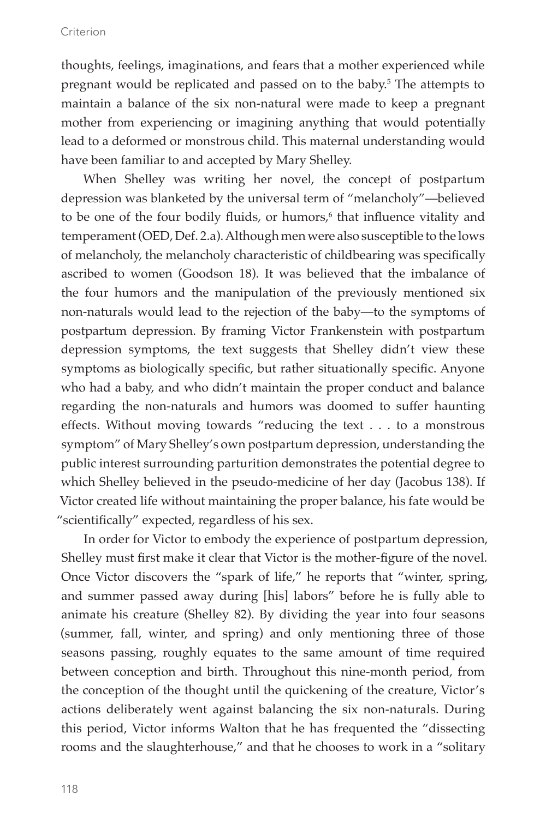#### Criterion

thoughts, feelings, imaginations, and fears that a mother experienced while pregnant would be replicated and passed on to the baby.<sup>5</sup> The attempts to maintain a balance of the six non-natural were made to keep a pregnant mother from experiencing or imagining anything that would potentially lead to a deformed or monstrous child. This maternal understanding would have been familiar to and accepted by Mary Shelley.

When Shelley was writing her novel, the concept of postpartum depression was blanketed by the universal term of "melancholy"—believed to be one of the four bodily fluids, or humors,<sup>6</sup> that influence vitality and temperament (OED, Def. 2.a). Although men were also susceptible to the lows of melancholy, the melancholy characteristic of childbearing was specifically ascribed to women (Goodson 18). It was believed that the imbalance of the four humors and the manipulation of the previously mentioned six non-naturals would lead to the rejection of the baby—to the symptoms of postpartum depression. By framing Victor Frankenstein with postpartum depression symptoms, the text suggests that Shelley didn't view these symptoms as biologically specific, but rather situationally specific. Anyone who had a baby, and who didn't maintain the proper conduct and balance regarding the non-naturals and humors was doomed to suffer haunting effects. Without moving towards "reducing the text . . . to a monstrous symptom" of Mary Shelley's own postpartum depression, understanding the public interest surrounding parturition demonstrates the potential degree to which Shelley believed in the pseudo-medicine of her day (Jacobus 138). If Victor created life without maintaining the proper balance, his fate would be "scientifically" expected, regardless of his sex.

In order for Victor to embody the experience of postpartum depression, Shelley must first make it clear that Victor is the mother-figure of the novel. Once Victor discovers the "spark of life," he reports that "winter, spring, and summer passed away during [his] labors" before he is fully able to animate his creature (Shelley 82). By dividing the year into four seasons (summer, fall, winter, and spring) and only mentioning three of those seasons passing, roughly equates to the same amount of time required between conception and birth. Throughout this nine-month period, from the conception of the thought until the quickening of the creature, Victor's actions deliberately went against balancing the six non-naturals. During this period, Victor informs Walton that he has frequented the "dissecting rooms and the slaughterhouse," and that he chooses to work in a "solitary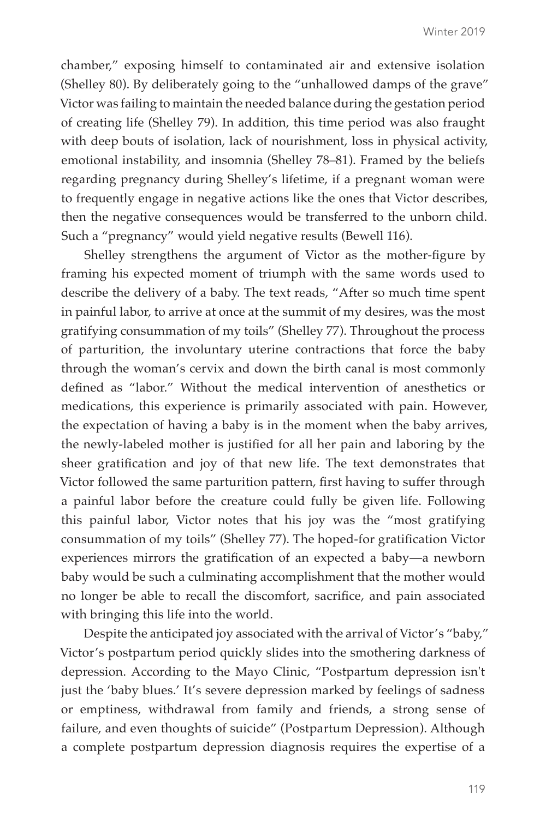chamber," exposing himself to contaminated air and extensive isolation (Shelley 80). By deliberately going to the "unhallowed damps of the grave" Victor was failing to maintain the needed balance during the gestation period of creating life (Shelley 79). In addition, this time period was also fraught with deep bouts of isolation, lack of nourishment, loss in physical activity, emotional instability, and insomnia (Shelley 78–81). Framed by the beliefs regarding pregnancy during Shelley's lifetime, if a pregnant woman were to frequently engage in negative actions like the ones that Victor describes, then the negative consequences would be transferred to the unborn child. Such a "pregnancy" would yield negative results (Bewell 116).

Shelley strengthens the argument of Victor as the mother-figure by framing his expected moment of triumph with the same words used to describe the delivery of a baby. The text reads, "After so much time spent in painful labor, to arrive at once at the summit of my desires, was the most gratifying consummation of my toils" (Shelley 77). Throughout the process of parturition, the involuntary uterine contractions that force the baby through the woman's cervix and down the birth canal is most commonly defined as "labor." Without the medical intervention of anesthetics or medications, this experience is primarily associated with pain. However, the expectation of having a baby is in the moment when the baby arrives, the newly-labeled mother is justified for all her pain and laboring by the sheer gratification and joy of that new life. The text demonstrates that Victor followed the same parturition pattern, first having to suffer through a painful labor before the creature could fully be given life. Following this painful labor, Victor notes that his joy was the "most gratifying consummation of my toils" (Shelley 77). The hoped-for gratification Victor experiences mirrors the gratification of an expected a baby—a newborn baby would be such a culminating accomplishment that the mother would no longer be able to recall the discomfort, sacrifice, and pain associated with bringing this life into the world.

Despite the anticipated joy associated with the arrival of Victor's "baby," Victor's postpartum period quickly slides into the smothering darkness of depression. According to the Mayo Clinic, "Postpartum depression isn't just the 'baby blues.' It's severe depression marked by feelings of sadness or emptiness, withdrawal from family and friends, a strong sense of failure, and even thoughts of suicide" (Postpartum Depression). Although a complete postpartum depression diagnosis requires the expertise of a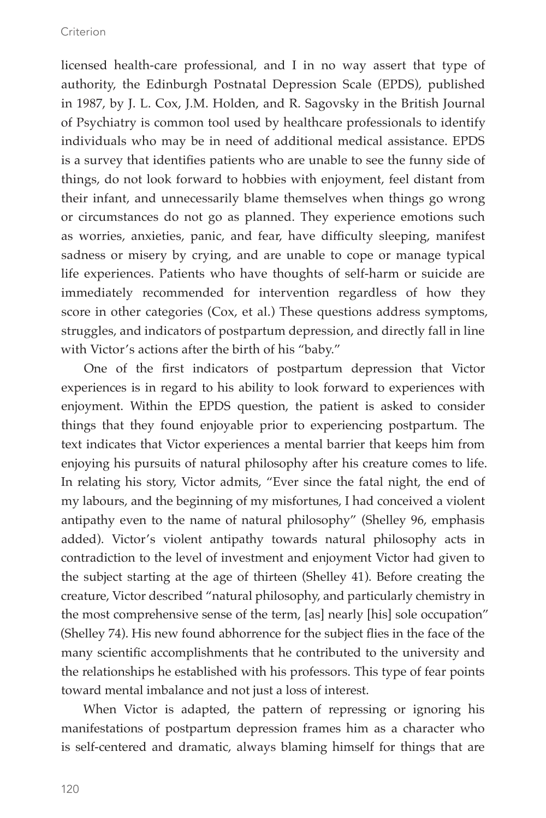licensed health-care professional, and I in no way assert that type of authority, the Edinburgh Postnatal Depression Scale (EPDS), published in 1987, by J. L. Cox, J.M. Holden, and R. Sagovsky in the British Journal of Psychiatry is common tool used by healthcare professionals to identify individuals who may be in need of additional medical assistance. EPDS is a survey that identifies patients who are unable to see the funny side of things, do not look forward to hobbies with enjoyment, feel distant from their infant, and unnecessarily blame themselves when things go wrong or circumstances do not go as planned. They experience emotions such as worries, anxieties, panic, and fear, have difficulty sleeping, manifest sadness or misery by crying, and are unable to cope or manage typical life experiences. Patients who have thoughts of self-harm or suicide are immediately recommended for intervention regardless of how they score in other categories (Cox, et al.) These questions address symptoms, struggles, and indicators of postpartum depression, and directly fall in line with Victor's actions after the birth of his "baby."

One of the first indicators of postpartum depression that Victor experiences is in regard to his ability to look forward to experiences with enjoyment. Within the EPDS question, the patient is asked to consider things that they found enjoyable prior to experiencing postpartum. The text indicates that Victor experiences a mental barrier that keeps him from enjoying his pursuits of natural philosophy after his creature comes to life. In relating his story, Victor admits, "Ever since the fatal night, the end of my labours, and the beginning of my misfortunes, I had conceived a violent antipathy even to the name of natural philosophy" (Shelley 96, emphasis added). Victor's violent antipathy towards natural philosophy acts in contradiction to the level of investment and enjoyment Victor had given to the subject starting at the age of thirteen (Shelley 41). Before creating the creature, Victor described "natural philosophy, and particularly chemistry in the most comprehensive sense of the term, [as] nearly [his] sole occupation" (Shelley 74). His new found abhorrence for the subject flies in the face of the many scientific accomplishments that he contributed to the university and the relationships he established with his professors. This type of fear points toward mental imbalance and not just a loss of interest.

When Victor is adapted, the pattern of repressing or ignoring his manifestations of postpartum depression frames him as a character who is self-centered and dramatic, always blaming himself for things that are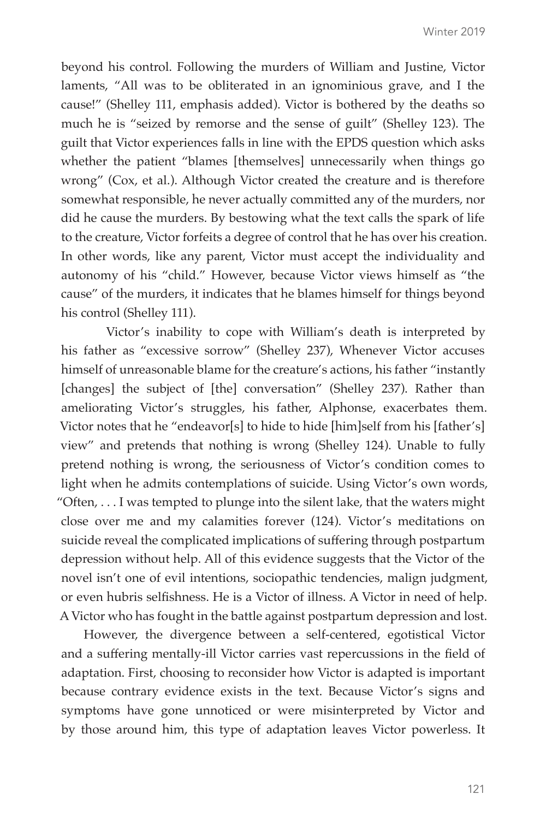beyond his control. Following the murders of William and Justine, Victor laments, "All was to be obliterated in an ignominious grave, and I the cause!" (Shelley 111, emphasis added). Victor is bothered by the deaths so much he is "seized by remorse and the sense of guilt" (Shelley 123). The guilt that Victor experiences falls in line with the EPDS question which asks whether the patient "blames [themselves] unnecessarily when things go wrong" (Cox, et al.). Although Victor created the creature and is therefore somewhat responsible, he never actually committed any of the murders, nor did he cause the murders. By bestowing what the text calls the spark of life to the creature, Victor forfeits a degree of control that he has over his creation. In other words, like any parent, Victor must accept the individuality and autonomy of his "child." However, because Victor views himself as "the cause" of the murders, it indicates that he blames himself for things beyond his control (Shelley 111).

Victor's inability to cope with William's death is interpreted by his father as "excessive sorrow" (Shelley 237), Whenever Victor accuses himself of unreasonable blame for the creature's actions, his father "instantly [changes] the subject of [the] conversation" (Shelley 237). Rather than ameliorating Victor's struggles, his father, Alphonse, exacerbates them. Victor notes that he "endeavor[s] to hide to hide [him]self from his [father's] view" and pretends that nothing is wrong (Shelley 124). Unable to fully pretend nothing is wrong, the seriousness of Victor's condition comes to light when he admits contemplations of suicide. Using Victor's own words, "Often, . . . I was tempted to plunge into the silent lake, that the waters might close over me and my calamities forever (124). Victor's meditations on suicide reveal the complicated implications of suffering through postpartum depression without help. All of this evidence suggests that the Victor of the novel isn't one of evil intentions, sociopathic tendencies, malign judgment, or even hubris selfishness. He is a Victor of illness. A Victor in need of help. A Victor who has fought in the battle against postpartum depression and lost.

However, the divergence between a self-centered, egotistical Victor and a suffering mentally-ill Victor carries vast repercussions in the field of adaptation. First, choosing to reconsider how Victor is adapted is important because contrary evidence exists in the text. Because Victor's signs and symptoms have gone unnoticed or were misinterpreted by Victor and by those around him, this type of adaptation leaves Victor powerless. It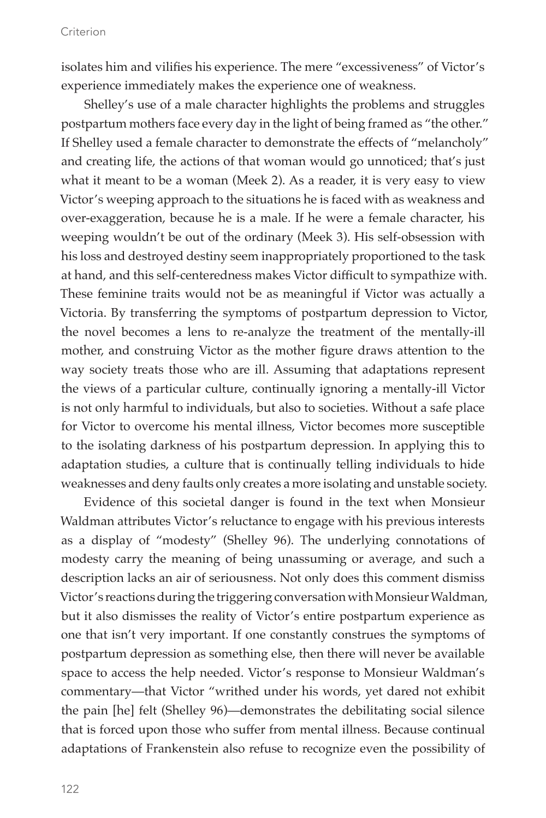#### Criterion

isolates him and vilifies his experience. The mere "excessiveness" of Victor's experience immediately makes the experience one of weakness.

Shelley's use of a male character highlights the problems and struggles postpartum mothers face every day in the light of being framed as "the other." If Shelley used a female character to demonstrate the effects of "melancholy" and creating life, the actions of that woman would go unnoticed; that's just what it meant to be a woman (Meek 2). As a reader, it is very easy to view Victor's weeping approach to the situations he is faced with as weakness and over-exaggeration, because he is a male. If he were a female character, his weeping wouldn't be out of the ordinary (Meek 3). His self-obsession with his loss and destroyed destiny seem inappropriately proportioned to the task at hand, and this self-centeredness makes Victor difficult to sympathize with. These feminine traits would not be as meaningful if Victor was actually a Victoria. By transferring the symptoms of postpartum depression to Victor, the novel becomes a lens to re-analyze the treatment of the mentally-ill mother, and construing Victor as the mother figure draws attention to the way society treats those who are ill. Assuming that adaptations represent the views of a particular culture, continually ignoring a mentally-ill Victor is not only harmful to individuals, but also to societies. Without a safe place for Victor to overcome his mental illness, Victor becomes more susceptible to the isolating darkness of his postpartum depression. In applying this to adaptation studies, a culture that is continually telling individuals to hide weaknesses and deny faults only creates a more isolating and unstable society.

Evidence of this societal danger is found in the text when Monsieur Waldman attributes Victor's reluctance to engage with his previous interests as a display of "modesty" (Shelley 96). The underlying connotations of modesty carry the meaning of being unassuming or average, and such a description lacks an air of seriousness. Not only does this comment dismiss Victor's reactions during the triggering conversation with Monsieur Waldman, but it also dismisses the reality of Victor's entire postpartum experience as one that isn't very important. If one constantly construes the symptoms of postpartum depression as something else, then there will never be available space to access the help needed. Victor's response to Monsieur Waldman's commentary—that Victor "writhed under his words, yet dared not exhibit the pain [he] felt (Shelley 96)—demonstrates the debilitating social silence that is forced upon those who suffer from mental illness. Because continual adaptations of Frankenstein also refuse to recognize even the possibility of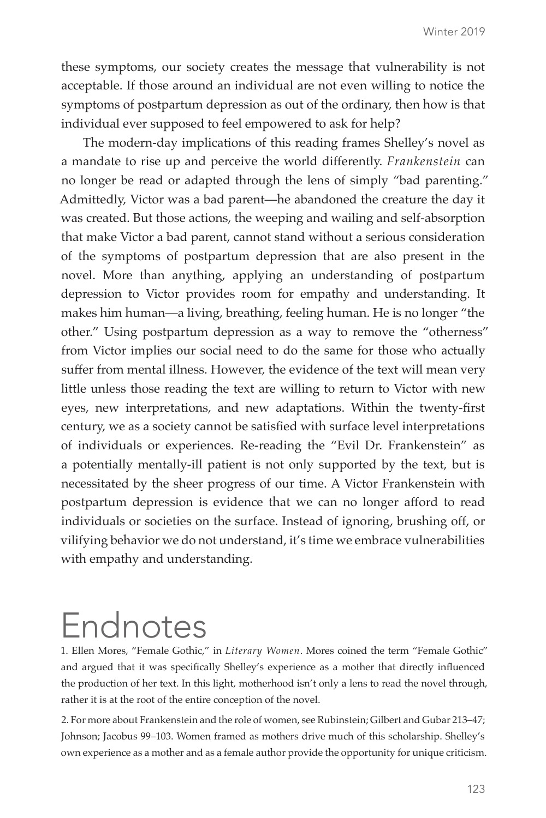these symptoms, our society creates the message that vulnerability is not acceptable. If those around an individual are not even willing to notice the symptoms of postpartum depression as out of the ordinary, then how is that individual ever supposed to feel empowered to ask for help?

The modern-day implications of this reading frames Shelley's novel as a mandate to rise up and perceive the world differently. *Frankenstein* can no longer be read or adapted through the lens of simply "bad parenting." Admittedly, Victor was a bad parent—he abandoned the creature the day it was created. But those actions, the weeping and wailing and self-absorption that make Victor a bad parent, cannot stand without a serious consideration of the symptoms of postpartum depression that are also present in the novel. More than anything, applying an understanding of postpartum depression to Victor provides room for empathy and understanding. It makes him human—a living, breathing, feeling human. He is no longer "the other." Using postpartum depression as a way to remove the "otherness" from Victor implies our social need to do the same for those who actually suffer from mental illness. However, the evidence of the text will mean very little unless those reading the text are willing to return to Victor with new eyes, new interpretations, and new adaptations. Within the twenty-first century, we as a society cannot be satisfied with surface level interpretations of individuals or experiences. Re-reading the "Evil Dr. Frankenstein" as a potentially mentally-ill patient is not only supported by the text, but is necessitated by the sheer progress of our time. A Victor Frankenstein with postpartum depression is evidence that we can no longer afford to read individuals or societies on the surface. Instead of ignoring, brushing off, or vilifying behavior we do not understand, it's time we embrace vulnerabilities with empathy and understanding.

### Endnotes

1. Ellen Mores, "Female Gothic," in *Literary Women*. Mores coined the term "Female Gothic" and argued that it was specifically Shelley's experience as a mother that directly influenced the production of her text. In this light, motherhood isn't only a lens to read the novel through, rather it is at the root of the entire conception of the novel.

2. For more about Frankenstein and the role of women, see Rubinstein; Gilbert and Gubar 213–47; Johnson; Jacobus 99–103. Women framed as mothers drive much of this scholarship. Shelley's own experience as a mother and as a female author provide the opportunity for unique criticism.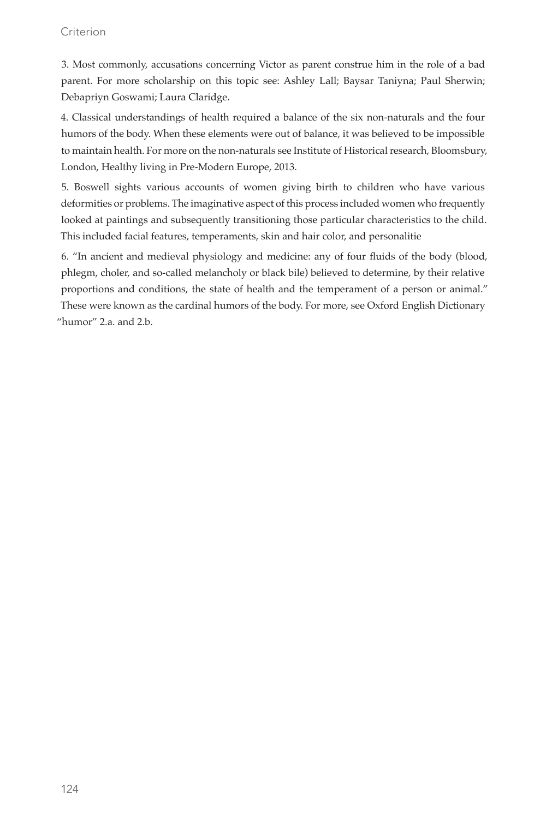#### Criterion

3. Most commonly, accusations concerning Victor as parent construe him in the role of a bad parent. For more scholarship on this topic see: Ashley Lall; Baysar Taniyna; Paul Sherwin; Debapriyn Goswami; Laura Claridge.

4. Classical understandings of health required a balance of the six non-naturals and the four humors of the body. When these elements were out of balance, it was believed to be impossible to maintain health. For more on the non-naturals see Institute of Historical research, Bloomsbury, London, Healthy living in Pre-Modern Europe, 2013.

5. Boswell sights various accounts of women giving birth to children who have various deformities or problems. The imaginative aspect of this process included women who frequently looked at paintings and subsequently transitioning those particular characteristics to the child. This included facial features, temperaments, skin and hair color, and personalitie

6. "In ancient and medieval physiology and medicine: any of four fluids of the body (blood, phlegm, choler, and so-called melancholy or black bile) believed to determine, by their relative proportions and conditions, the state of health and the temperament of a person or animal." These were known as the cardinal humors of the body. For more, see Oxford English Dictionary "humor" 2.a. and 2.b.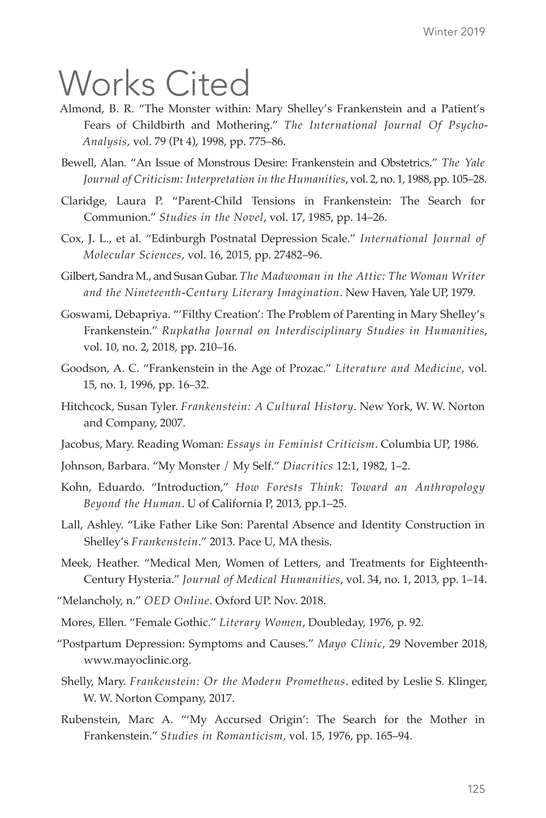## Works Cited

- Almond, B. R. "The Monster within: Mary Shelley's Frankenstein and a Patient's Fears of Childbirth and Mothering." *The International Journal Of Psycho-Analysis*, vol. 79 (Pt 4), 1998, pp. 775–86.
- Bewell, Alan. "An Issue of Monstrous Desire: Frankenstein and Obstetrics." *The Yale Journal of Criticism: Interpretation in the Humanities*, vol. 2, no. 1, 1988, pp. 105–28.
- Claridge, Laura P. "Parent-Child Tensions in Frankenstein: The Search for Communion." *Studies in the Novel*, vol. 17, 1985, pp. 14–26.
- Cox, J. L., et al. "Edinburgh Postnatal Depression Scale." *International Journal of Molecular Sciences*, vol. 16, 2015, pp. 27482–96.
- Gilbert, Sandra M., and Susan Gubar. *The Madwoman in the Attic: The Woman Writer and the Nineteenth-Century Literary Imagination*. New Haven, Yale UP, 1979.
- Goswami, Debapriya. "'Filthy Creation': The Problem of Parenting in Mary Shelley's Frankenstein." *Rupkatha Journal on Interdisciplinary Studies in Humanities*, vol. 10, no. 2, 2018, pp. 210–16.
- Goodson, A. C. "Frankenstein in the Age of Prozac." *Literature and Medicine*, vol. 15, no. 1, 1996, pp. 16–32.
- Hitchcock, Susan Tyler. *Frankenstein: A Cultural History*. New York, W. W. Norton and Company, 2007.
- Jacobus, Mary. Reading Woman: *Essays in Feminist Criticism*. Columbia UP, 1986.
- Johnson, Barbara. "My Monster / My Self." *Diacritics* 12:1, 1982, 1–2.
- Kohn, Eduardo. "Introduction," *How Forests Think: Toward an Anthropology Beyond the Human*. U of California P, 2013, pp.1–25.
- Lall, Ashley. "Like Father Like Son: Parental Absence and Identity Construction in Shelley's *Frankenstein*." 2013. Pace U, MA thesis.
- Meek, Heather. "Medical Men, Women of Letters, and Treatments for Eighteenth-Century Hysteria." *Journal of Medical Humanities*, vol. 34, no. 1, 2013, pp. 1–14.
- "Melancholy, n." *OED Online*. Oxford UP. Nov. 2018.
- Mores, Ellen. "Female Gothic." *Literary Women*, Doubleday, 1976, p. 92.
- "Postpartum Depression: Symptoms and Causes." *Mayo Clinic*, 29 November 2018, www.mayoclinic.org.
- Shelly, Mary. *Frankenstein: Or the Modern Prometheus*. edited by Leslie S. Klinger, W. W. Norton Company, 2017.
- Rubenstein, Marc A. "'My Accursed Origin': The Search for the Mother in Frankenstein." *Studies in Romanticism*, vol. 15, 1976, pp. 165–94.